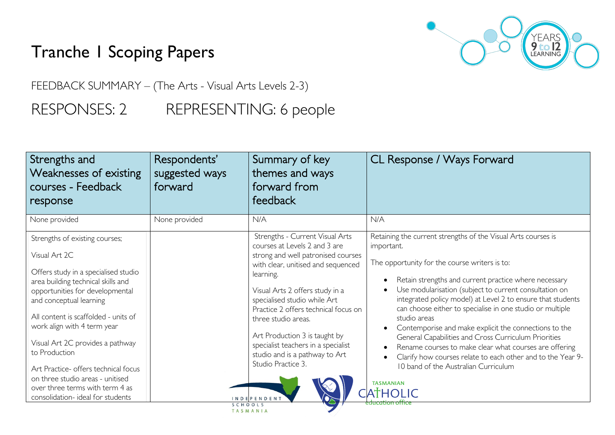## Tranche 1 Scoping Papers



FEEDBACK SUMMARY – (The Arts - Visual Arts Levels 2-3)

RESPONSES: 2 REPRESENTING: 6 people

| Strengths and<br>Weaknesses of existing<br>courses - Feedback<br>response                                                                                                                                                                                                                                                                                                                                                                                                   | Respondents'<br>suggested ways<br>forward | Summary of key<br>themes and ways<br>forward from<br>feedback                                                                                                                                                                                                                                                                                                                                                                                     | CL Response / Ways Forward                                                                                                                                                                                                                                                                                                                                                                                                                                                                                                                                                                                                                                                                                           |
|-----------------------------------------------------------------------------------------------------------------------------------------------------------------------------------------------------------------------------------------------------------------------------------------------------------------------------------------------------------------------------------------------------------------------------------------------------------------------------|-------------------------------------------|---------------------------------------------------------------------------------------------------------------------------------------------------------------------------------------------------------------------------------------------------------------------------------------------------------------------------------------------------------------------------------------------------------------------------------------------------|----------------------------------------------------------------------------------------------------------------------------------------------------------------------------------------------------------------------------------------------------------------------------------------------------------------------------------------------------------------------------------------------------------------------------------------------------------------------------------------------------------------------------------------------------------------------------------------------------------------------------------------------------------------------------------------------------------------------|
| None provided                                                                                                                                                                                                                                                                                                                                                                                                                                                               | None provided                             | N/A                                                                                                                                                                                                                                                                                                                                                                                                                                               | N/A                                                                                                                                                                                                                                                                                                                                                                                                                                                                                                                                                                                                                                                                                                                  |
| Strengths of existing courses;<br>Visual Art 2C<br>Offers study in a specialised studio<br>area building technical skills and<br>opportunities for developmental<br>and conceptual learning<br>All content is scaffolded - units of<br>work align with 4 term year<br>Visual Art 2C provides a pathway<br>to Production<br>Art Practice- offers technical focus<br>on three studio areas - unitised<br>over three terms with term 4 as<br>consolidation- ideal for students |                                           | Strengths - Current Visual Arts<br>courses at Levels 2 and 3 are<br>strong and well patronised courses<br>with clear, unitised and sequenced<br>learning.<br>Visual Arts 2 offers study in a<br>specialised studio while Art<br>Practice 2 offers technical focus on<br>three studio areas.<br>Art Production 3 is taught by<br>specialist teachers in a specialist<br>studio and is a pathway to Art<br>Studio Practice 3.<br><b>INDEPENDENT</b> | Retaining the current strengths of the Visual Arts courses is<br>important.<br>The opportunity for the course writers is to:<br>Retain strengths and current practice where necessary<br>Use modularisation (subject to current consultation on<br>integrated policy model) at Level 2 to ensure that students<br>can choose either to specialise in one studio or multiple<br>studio areas<br>Contemporise and make explicit the connections to the<br>General Capabilities and Cross Curriculum Priorities<br>Rename courses to make clear what courses are offering<br>Clarify how courses relate to each other and to the Year 9-<br>10 band of the Australian Curriculum<br><b>TASMANIAN</b><br><b>TATHOLIC</b> |
|                                                                                                                                                                                                                                                                                                                                                                                                                                                                             |                                           | TASMANIA                                                                                                                                                                                                                                                                                                                                                                                                                                          |                                                                                                                                                                                                                                                                                                                                                                                                                                                                                                                                                                                                                                                                                                                      |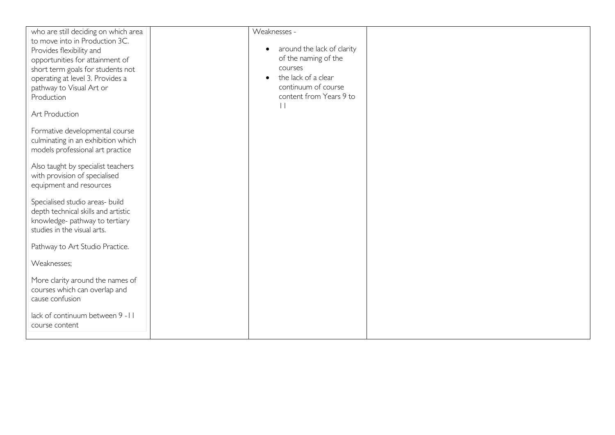| who are still deciding on which area | Weaknesses -                            |  |
|--------------------------------------|-----------------------------------------|--|
| to move into in Production 3C.       |                                         |  |
| Provides flexibility and             | around the lack of clarity<br>$\bullet$ |  |
| opportunities for attainment of      | of the naming of the                    |  |
| short term goals for students not    | courses                                 |  |
| operating at level 3. Provides a     | the lack of a clear                     |  |
| pathway to Visual Art or             | continuum of course                     |  |
| Production                           | content from Years 9 to                 |  |
|                                      | $\vert \ \vert$                         |  |
| Art Production                       |                                         |  |
|                                      |                                         |  |
| Formative developmental course       |                                         |  |
| culminating in an exhibition which   |                                         |  |
|                                      |                                         |  |
| models professional art practice     |                                         |  |
| Also taught by specialist teachers   |                                         |  |
| with provision of specialised        |                                         |  |
| equipment and resources              |                                         |  |
|                                      |                                         |  |
| Specialised studio areas- build      |                                         |  |
| depth technical skills and artistic  |                                         |  |
|                                      |                                         |  |
| knowledge- pathway to tertiary       |                                         |  |
| studies in the visual arts.          |                                         |  |
| Pathway to Art Studio Practice.      |                                         |  |
|                                      |                                         |  |
| Weaknesses;                          |                                         |  |
|                                      |                                         |  |
| More clarity around the names of     |                                         |  |
| courses which can overlap and        |                                         |  |
| cause confusion                      |                                         |  |
|                                      |                                         |  |
| lack of continuum between 9 - II     |                                         |  |
| course content                       |                                         |  |
|                                      |                                         |  |
|                                      |                                         |  |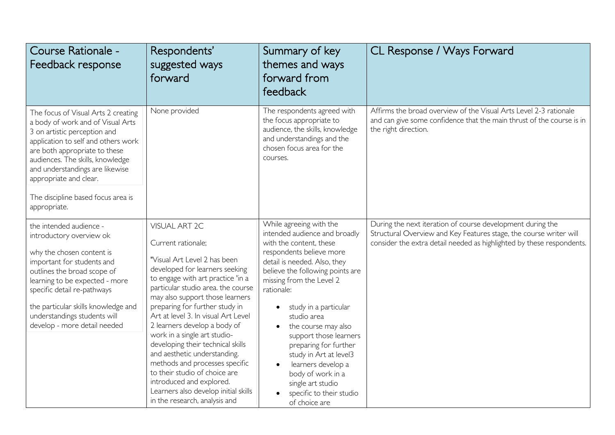| Course Rationale -<br>Feedback response                                                                                                                                                                                                                                                                                                 | Respondents'<br>suggested ways<br>forward                                                                                                                                                                                                 | Summary of key<br>themes and ways<br>forward from<br>feedback                                                                                                                                                   | CL Response / Ways Forward                                                                                                                                                                                |
|-----------------------------------------------------------------------------------------------------------------------------------------------------------------------------------------------------------------------------------------------------------------------------------------------------------------------------------------|-------------------------------------------------------------------------------------------------------------------------------------------------------------------------------------------------------------------------------------------|-----------------------------------------------------------------------------------------------------------------------------------------------------------------------------------------------------------------|-----------------------------------------------------------------------------------------------------------------------------------------------------------------------------------------------------------|
| The focus of Visual Arts 2 creating<br>a body of work and of Visual Arts<br>3 on artistic perception and<br>application to self and others work<br>are both appropriate to these<br>audiences. The skills, knowledge<br>and understandings are likewise<br>appropriate and clear.<br>The discipline based focus area is<br>appropriate. | None provided                                                                                                                                                                                                                             | The respondents agreed with<br>the focus appropriate to<br>audience, the skills, knowledge<br>and understandings and the<br>chosen focus area for the<br>courses.                                               | Affirms the broad overview of the Visual Arts Level 2-3 rationale<br>and can give some confidence that the main thrust of the course is in<br>the right direction.                                        |
| the intended audience -<br>introductory overview ok<br>why the chosen content is<br>important for students and<br>outlines the broad scope of<br>learning to be expected - more                                                                                                                                                         | <b>VISUAL ART 2C</b><br>Current rationale;<br>"Visual Art Level 2 has been<br>developed for learners seeking<br>to engage with art practice 'in a                                                                                         | While agreeing with the<br>intended audience and broadly<br>with the content, these<br>respondents believe more<br>detail is needed. Also, they<br>believe the following points are<br>missing from the Level 2 | During the next iteration of course development during the<br>Structural Overview and Key Features stage, the course writer will<br>consider the extra detail needed as highlighted by these respondents. |
| specific detail re-pathways<br>the particular skills knowledge and<br>understandings students will<br>develop - more detail needed                                                                                                                                                                                                      | particular studio area. the course<br>may also support those learners<br>preparing for further study in<br>Art at level 3. In visual Art Level<br>2 learners develop a body of<br>work in a single art studio-                            | rationale:<br>study in a particular<br>studio area<br>the course may also<br>$\bullet$<br>support those learners                                                                                                |                                                                                                                                                                                                           |
|                                                                                                                                                                                                                                                                                                                                         | developing their technical skills<br>and aesthetic understanding.<br>methods and processes specific<br>to their studio of choice are<br>introduced and explored.<br>Learners also develop initial skills<br>in the research, analysis and | preparing for further<br>study in Art at level3<br>learners develop a<br>body of work in a<br>single art studio<br>specific to their studio<br>of choice are                                                    |                                                                                                                                                                                                           |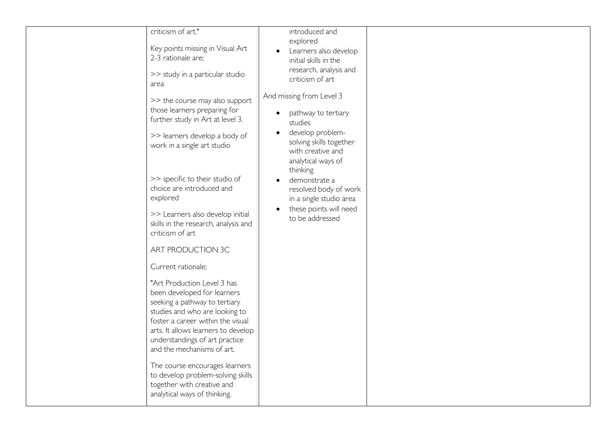| criticism of art."                                                                                                                                                                                                                                                                                                                                                                                                                                                                        | introduced and                                                                                                                                                                                                                                                                                                                                                                       |  |
|-------------------------------------------------------------------------------------------------------------------------------------------------------------------------------------------------------------------------------------------------------------------------------------------------------------------------------------------------------------------------------------------------------------------------------------------------------------------------------------------|--------------------------------------------------------------------------------------------------------------------------------------------------------------------------------------------------------------------------------------------------------------------------------------------------------------------------------------------------------------------------------------|--|
|                                                                                                                                                                                                                                                                                                                                                                                                                                                                                           | explored                                                                                                                                                                                                                                                                                                                                                                             |  |
| Key points missing in Visual Art                                                                                                                                                                                                                                                                                                                                                                                                                                                          | Learners also develop<br>$\bullet$                                                                                                                                                                                                                                                                                                                                                   |  |
| 2-3 rationale are;                                                                                                                                                                                                                                                                                                                                                                                                                                                                        | initial skills in the                                                                                                                                                                                                                                                                                                                                                                |  |
|                                                                                                                                                                                                                                                                                                                                                                                                                                                                                           |                                                                                                                                                                                                                                                                                                                                                                                      |  |
|                                                                                                                                                                                                                                                                                                                                                                                                                                                                                           |                                                                                                                                                                                                                                                                                                                                                                                      |  |
| area                                                                                                                                                                                                                                                                                                                                                                                                                                                                                      |                                                                                                                                                                                                                                                                                                                                                                                      |  |
| >> study in a particular studio<br>>> the course may also support<br>those learners preparing for<br>further study in Art at level 3.<br>>> learners develop a body of<br>work in a single art studio<br>>> specific to their studio of<br>choice are introduced and<br>explored<br>>> Learners also develop initial<br>skills in the research, analysis and<br>criticism of art<br>ART PRODUCTION 3C<br>Current rationale;<br>"Art Production Level 3 has<br>been developed for learners | research, analysis and<br>criticism of art<br>And missing from Level 3<br>pathway to tertiary<br>$\bullet$<br>studies<br>develop problem-<br>$\bullet$<br>solving skills together<br>with creative and<br>analytical ways of<br>thinking<br>demonstrate a<br>$\bullet$<br>resolved body of work<br>in a single studio area<br>these points will need<br>$\bullet$<br>to be addressed |  |
| seeking a pathway to tertiary                                                                                                                                                                                                                                                                                                                                                                                                                                                             |                                                                                                                                                                                                                                                                                                                                                                                      |  |
| studies and who are looking to                                                                                                                                                                                                                                                                                                                                                                                                                                                            |                                                                                                                                                                                                                                                                                                                                                                                      |  |
| foster a career within the visual                                                                                                                                                                                                                                                                                                                                                                                                                                                         |                                                                                                                                                                                                                                                                                                                                                                                      |  |
| arts. It allows learners to develop                                                                                                                                                                                                                                                                                                                                                                                                                                                       |                                                                                                                                                                                                                                                                                                                                                                                      |  |
| understandings of art practice                                                                                                                                                                                                                                                                                                                                                                                                                                                            |                                                                                                                                                                                                                                                                                                                                                                                      |  |
| and the mechanisms of art.                                                                                                                                                                                                                                                                                                                                                                                                                                                                |                                                                                                                                                                                                                                                                                                                                                                                      |  |
|                                                                                                                                                                                                                                                                                                                                                                                                                                                                                           |                                                                                                                                                                                                                                                                                                                                                                                      |  |
| The course encourages learners                                                                                                                                                                                                                                                                                                                                                                                                                                                            |                                                                                                                                                                                                                                                                                                                                                                                      |  |
| to develop problem-solving skills                                                                                                                                                                                                                                                                                                                                                                                                                                                         |                                                                                                                                                                                                                                                                                                                                                                                      |  |
| together with creative and                                                                                                                                                                                                                                                                                                                                                                                                                                                                |                                                                                                                                                                                                                                                                                                                                                                                      |  |
| analytical ways of thinking.                                                                                                                                                                                                                                                                                                                                                                                                                                                              |                                                                                                                                                                                                                                                                                                                                                                                      |  |
|                                                                                                                                                                                                                                                                                                                                                                                                                                                                                           |                                                                                                                                                                                                                                                                                                                                                                                      |  |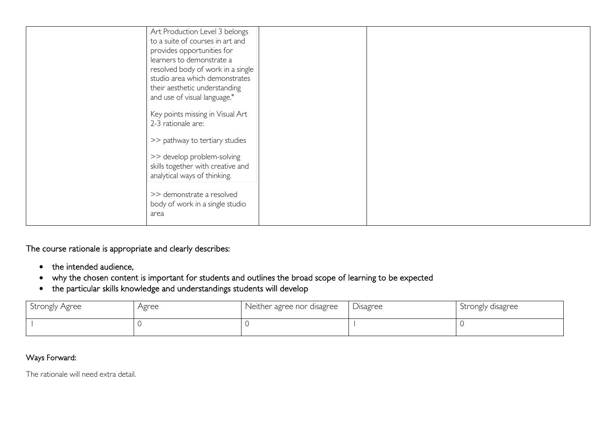| Art Production Level 3 belongs    |  |  |
|-----------------------------------|--|--|
| to a suite of courses in art and  |  |  |
| provides opportunities for        |  |  |
| learners to demonstrate a         |  |  |
| resolved body of work in a single |  |  |
| studio area which demonstrates    |  |  |
| their aesthetic understanding     |  |  |
|                                   |  |  |
| and use of visual language."      |  |  |
| Key points missing in Visual Art  |  |  |
| 2-3 rationale are:                |  |  |
|                                   |  |  |
| >> pathway to tertiary studies    |  |  |
|                                   |  |  |
| >> develop problem-solving        |  |  |
| skills together with creative and |  |  |
| analytical ways of thinking.      |  |  |
|                                   |  |  |
| >> demonstrate a resolved         |  |  |
| body of work in a single studio   |  |  |
| area                              |  |  |
|                                   |  |  |

The course rationale is appropriate and clearly describes:

- the intended audience,
- why the chosen content is important for students and outlines the broad scope of learning to be expected
- the particular skills knowledge and understandings students will develop

| Strongly Agree | Agree | Neither agree nor disagree | Disagree | Strongly disagree |
|----------------|-------|----------------------------|----------|-------------------|
|                |       |                            |          |                   |

## Ways Forward:

The rationale will need extra detail.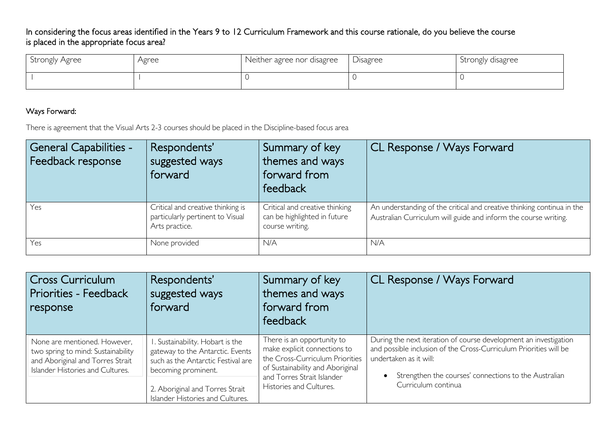In considering the focus areas identified in the Years 9 to 12 Curriculum Framework and this course rationale, do you believe the course is placed in the appropriate focus area?

| Strongly Agree | Agree | Neither agree nor disagree | Disagree | Strongly disagree |
|----------------|-------|----------------------------|----------|-------------------|
|                |       |                            |          |                   |

## Ways Forward:

There is agreement that the Visual Arts 2-3 courses should be placed in the Discipline-based focus area

| <b>General Capabilities -</b><br>Feedback response | Respondents'<br>suggested ways<br>forward                                               | Summary of key<br>themes and ways<br>forward from<br>feedback                     | CL Response / Ways Forward                                                                                                                |
|----------------------------------------------------|-----------------------------------------------------------------------------------------|-----------------------------------------------------------------------------------|-------------------------------------------------------------------------------------------------------------------------------------------|
| Yes                                                | Critical and creative thinking is<br>particularly pertinent to Visual<br>Arts practice. | Critical and creative thinking<br>can be highlighted in future<br>course writing. | An understanding of the critical and creative thinking continua in the<br>Australian Curriculum will guide and inform the course writing. |
| Yes                                                | None provided                                                                           | N/A                                                                               | N/A                                                                                                                                       |

| <b>Cross Curriculum</b><br>Priorities - Feedback<br>response                                                                               | Respondents'<br>suggested ways<br>forward                                                                                        | Summary of key<br>themes and ways<br>forward from<br>feedback                                                                                                   | <b>CL Response / Ways Forward</b>                                                                                                                                                                                        |
|--------------------------------------------------------------------------------------------------------------------------------------------|----------------------------------------------------------------------------------------------------------------------------------|-----------------------------------------------------------------------------------------------------------------------------------------------------------------|--------------------------------------------------------------------------------------------------------------------------------------------------------------------------------------------------------------------------|
| None are mentioned. However,<br>two spring to mind: Sustainability<br>and Aboriginal and Torres Strait<br>Islander Histories and Cultures. | . Sustainability. Hobart is the<br>gateway to the Antarctic. Events<br>such as the Antarctic Festival are<br>becoming prominent. | There is an opportunity to<br>make explicit connections to<br>the Cross-Curriculum Priorities<br>of Sustainability and Aboriginal<br>and Torres Strait Islander | During the next iteration of course development an investigation<br>and possible inclusion of the Cross-Curriculum Priorities will be<br>undertaken as it will:<br>Strengthen the courses' connections to the Australian |
|                                                                                                                                            | 2. Aboriginal and Torres Strait<br>Islander Histories and Cultures.                                                              | Histories and Cultures.                                                                                                                                         | Curriculum continua                                                                                                                                                                                                      |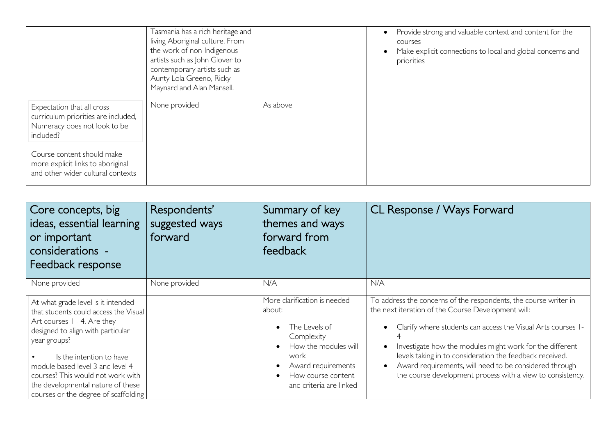|                                                                                                                | Tasmania has a rich heritage and<br>living Aboriginal culture. From<br>the work of non-Indigenous<br>artists such as John Glover to<br>contemporary artists such as<br>Aunty Lola Greeno, Ricky<br>Maynard and Alan Mansell. |          | Provide strong and valuable context and content for the<br>courses<br>Make explicit connections to local and global concerns and<br>priorities |
|----------------------------------------------------------------------------------------------------------------|------------------------------------------------------------------------------------------------------------------------------------------------------------------------------------------------------------------------------|----------|------------------------------------------------------------------------------------------------------------------------------------------------|
| Expectation that all cross<br>curriculum priorities are included,<br>Numeracy does not look to be<br>included? | None provided                                                                                                                                                                                                                | As above |                                                                                                                                                |
| Course content should make<br>more explicit links to aboriginal<br>and other wider cultural contexts           |                                                                                                                                                                                                                              |          |                                                                                                                                                |

| Core concepts, big<br>ideas, essential learning<br>or important<br>  considerations -<br>Feedback response                                                                                                                                                                                                                                        | Respondents'<br>suggested ways<br>forward | Summary of key<br>themes and ways<br>forward from<br>feedback                                                                                                                | CL Response / Ways Forward                                                                                                                                                                                                                                                                                                                                                                                                                          |
|---------------------------------------------------------------------------------------------------------------------------------------------------------------------------------------------------------------------------------------------------------------------------------------------------------------------------------------------------|-------------------------------------------|------------------------------------------------------------------------------------------------------------------------------------------------------------------------------|-----------------------------------------------------------------------------------------------------------------------------------------------------------------------------------------------------------------------------------------------------------------------------------------------------------------------------------------------------------------------------------------------------------------------------------------------------|
| None provided                                                                                                                                                                                                                                                                                                                                     | None provided                             | N/A                                                                                                                                                                          | N/A                                                                                                                                                                                                                                                                                                                                                                                                                                                 |
| At what grade level is it intended<br>that students could access the Visual<br>Art courses 1 - 4. Are they<br>designed to align with particular<br>year groups?<br>Is the intention to have<br>module based level 3 and level 4<br>courses? This would not work with<br>the developmental nature of these<br>courses or the degree of scaffolding |                                           | More clarification is needed<br>about:<br>The Levels of<br>Complexity<br>How the modules will<br>work<br>Award requirements<br>How course content<br>and criteria are linked | To address the concerns of the respondents, the course writer in<br>the next iteration of the Course Development will:<br>Clarify where students can access the Visual Arts courses 1-<br>Investigate how the modules might work for the different<br>levels taking in to consideration the feedback received.<br>Award requirements, will need to be considered through<br>$\bullet$<br>the course development process with a view to consistency. |